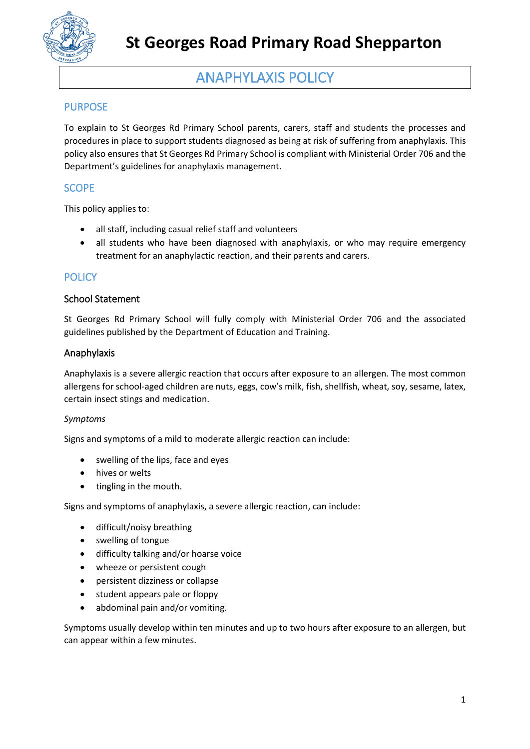

## ANAPHYLAXIS POLICY

## PURPOSE

To explain to St Georges Rd Primary School parents, carers, staff and students the processes and procedures in place to support students diagnosed as being at risk of suffering from anaphylaxis. This policy also ensures that St Georges Rd Primary School is compliant with Ministerial Order 706 and the Department's guidelines for anaphylaxis management.

## **SCOPE**

This policy applies to:

- all staff, including casual relief staff and volunteers
- all students who have been diagnosed with anaphylaxis, or who may require emergency treatment for an anaphylactic reaction, and their parents and carers.

## **POLICY**

#### School Statement

St Georges Rd Primary School will fully comply with Ministerial Order 706 and the associated guidelines published by the Department of Education and Training.

#### Anaphylaxis

Anaphylaxis is a severe allergic reaction that occurs after exposure to an allergen. The most common allergens for school-aged children are nuts, eggs, cow's milk, fish, shellfish, wheat, soy, sesame, latex, certain insect stings and medication.

#### *Symptoms*

Signs and symptoms of a mild to moderate allergic reaction can include:

- swelling of the lips, face and eyes
- hives or welts
- tingling in the mouth.

Signs and symptoms of anaphylaxis, a severe allergic reaction, can include:

- difficult/noisy breathing
- swelling of tongue
- difficulty talking and/or hoarse voice
- wheeze or persistent cough
- persistent dizziness or collapse
- student appears pale or floppy
- abdominal pain and/or vomiting.

Symptoms usually develop within ten minutes and up to two hours after exposure to an allergen, but can appear within a few minutes.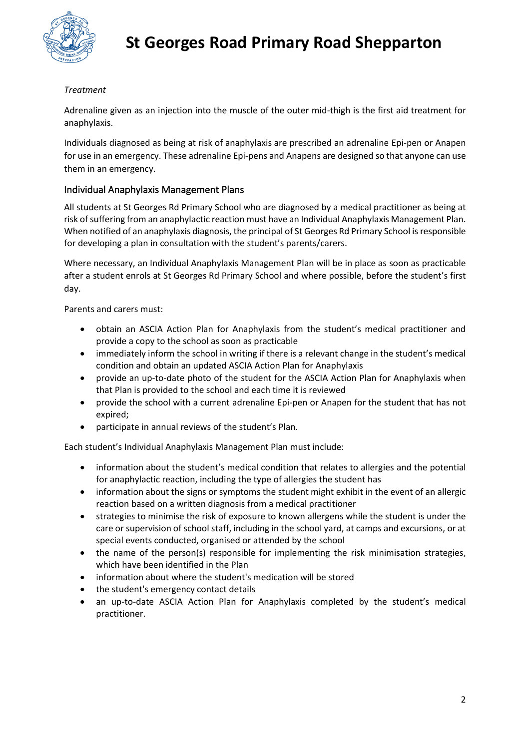

#### *Treatment*

Adrenaline given as an injection into the muscle of the outer mid-thigh is the first aid treatment for anaphylaxis.

Individuals diagnosed as being at risk of anaphylaxis are prescribed an adrenaline Epi-pen or Anapen for use in an emergency. These adrenaline Epi-pens and Anapens are designed so that anyone can use them in an emergency.

### Individual Anaphylaxis Management Plans

All students at St Georges Rd Primary School who are diagnosed by a medical practitioner as being at risk of suffering from an anaphylactic reaction must have an Individual Anaphylaxis Management Plan. When notified of an anaphylaxis diagnosis, the principal of St Georges Rd Primary School is responsible for developing a plan in consultation with the student's parents/carers.

Where necessary, an Individual Anaphylaxis Management Plan will be in place as soon as practicable after a student enrols at St Georges Rd Primary School and where possible, before the student's first day.

Parents and carers must:

- obtain an ASCIA Action Plan for Anaphylaxis from the student's medical practitioner and provide a copy to the school as soon as practicable
- immediately inform the school in writing if there is a relevant change in the student's medical condition and obtain an updated ASCIA Action Plan for Anaphylaxis
- provide an up-to-date photo of the student for the ASCIA Action Plan for Anaphylaxis when that Plan is provided to the school and each time it is reviewed
- provide the school with a current adrenaline Epi-pen or Anapen for the student that has not expired;
- participate in annual reviews of the student's Plan.

Each student's Individual Anaphylaxis Management Plan must include:

- information about the student's medical condition that relates to allergies and the potential for anaphylactic reaction, including the type of allergies the student has
- information about the signs or symptoms the student might exhibit in the event of an allergic reaction based on a written diagnosis from a medical practitioner
- strategies to minimise the risk of exposure to known allergens while the student is under the care or supervision of school staff, including in the school yard, at camps and excursions, or at special events conducted, organised or attended by the school
- the name of the person(s) responsible for implementing the risk minimisation strategies, which have been identified in the Plan
- information about where the student's medication will be stored
- the student's emergency contact details
- an up-to-date ASCIA Action Plan for Anaphylaxis completed by the student's medical practitioner.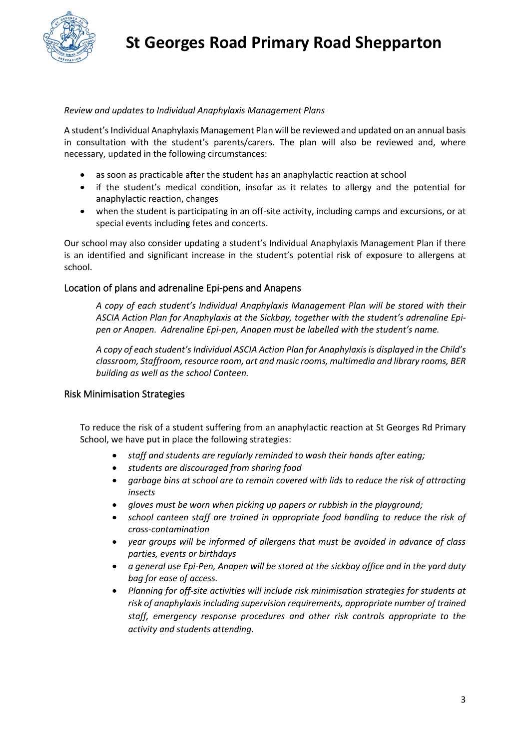

#### *Review and updates to Individual Anaphylaxis Management Plans*

A student's Individual Anaphylaxis Management Plan will be reviewed and updated on an annual basis in consultation with the student's parents/carers. The plan will also be reviewed and, where necessary, updated in the following circumstances:

- as soon as practicable after the student has an anaphylactic reaction at school
- if the student's medical condition, insofar as it relates to allergy and the potential for anaphylactic reaction, changes
- when the student is participating in an off-site activity, including camps and excursions, or at special events including fetes and concerts.

Our school may also consider updating a student's Individual Anaphylaxis Management Plan if there is an identified and significant increase in the student's potential risk of exposure to allergens at school.

#### Location of plans and adrenaline Epi-pens and Anapens

*A copy of each student's Individual Anaphylaxis Management Plan will be stored with their ASCIA Action Plan for Anaphylaxis at the Sickbay, together with the student's adrenaline Epipen or Anapen. Adrenaline Epi-pen, Anapen must be labelled with the student's name.*

*A copy of each student's Individual ASCIA Action Plan for Anaphylaxis is displayed in the Child's classroom, Staffroom, resource room, art and music rooms, multimedia and library rooms, BER building as well as the school Canteen.*

#### Risk Minimisation Strategies

To reduce the risk of a student suffering from an anaphylactic reaction at St Georges Rd Primary School, we have put in place the following strategies:

- *staff and students are regularly reminded to wash their hands after eating;*
- *students are discouraged from sharing food*
- *garbage bins at school are to remain covered with lids to reduce the risk of attracting insects*
- *gloves must be worn when picking up papers or rubbish in the playground;*
- *school canteen staff are trained in appropriate food handling to reduce the risk of cross-contamination*
- *year groups will be informed of allergens that must be avoided in advance of class parties, events or birthdays*
- *a general use Epi-Pen, Anapen will be stored at the sickbay office and in the yard duty bag for ease of access.*
- *Planning for off-site activities will include risk minimisation strategies for students at risk of anaphylaxis including supervision requirements, appropriate number of trained staff, emergency response procedures and other risk controls appropriate to the activity and students attending.*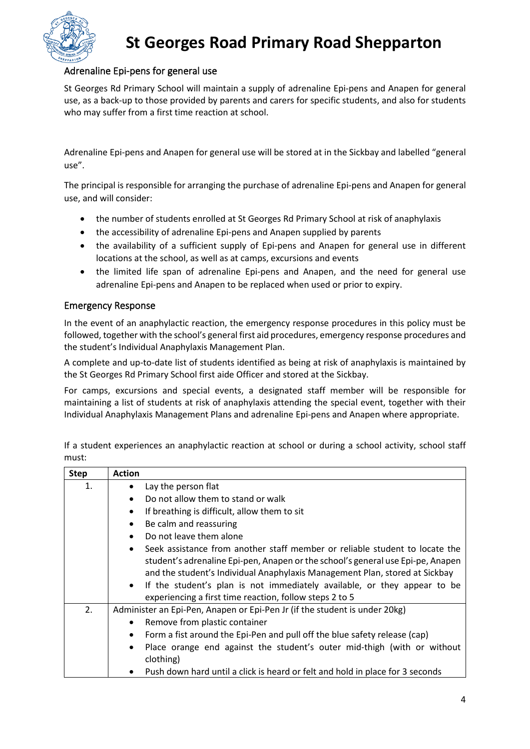

## **St Georges Road Primary Road Shepparton**

### Adrenaline Epi-pens for general use

St Georges Rd Primary School will maintain a supply of adrenaline Epi-pens and Anapen for general use, as a back-up to those provided by parents and carers for specific students, and also for students who may suffer from a first time reaction at school.

Adrenaline Epi-pens and Anapen for general use will be stored at in the Sickbay and labelled "general use".

The principal is responsible for arranging the purchase of adrenaline Epi-pens and Anapen for general use, and will consider:

- the number of students enrolled at St Georges Rd Primary School at risk of anaphylaxis
- the accessibility of adrenaline Epi-pens and Anapen supplied by parents
- the availability of a sufficient supply of Epi-pens and Anapen for general use in different locations at the school, as well as at camps, excursions and events
- the limited life span of adrenaline Epi-pens and Anapen, and the need for general use adrenaline Epi-pens and Anapen to be replaced when used or prior to expiry.

#### Emergency Response

In the event of an anaphylactic reaction, the emergency response procedures in this policy must be followed, together with the school's general first aid procedures, emergency response procedures and the student's Individual Anaphylaxis Management Plan.

A complete and up-to-date list of students identified as being at risk of anaphylaxis is maintained by the St Georges Rd Primary School first aide Officer and stored at the Sickbay.

For camps, excursions and special events, a designated staff member will be responsible for maintaining a list of students at risk of anaphylaxis attending the special event, together with their Individual Anaphylaxis Management Plans and adrenaline Epi-pens and Anapen where appropriate.

If a student experiences an anaphylactic reaction at school or during a school activity, school staff must:

| <b>Step</b> | <b>Action</b>                                                                                                                                                                                                                                              |
|-------------|------------------------------------------------------------------------------------------------------------------------------------------------------------------------------------------------------------------------------------------------------------|
| 1.          | Lay the person flat<br>$\bullet$                                                                                                                                                                                                                           |
|             | Do not allow them to stand or walk<br>$\bullet$                                                                                                                                                                                                            |
|             | If breathing is difficult, allow them to sit<br>$\bullet$                                                                                                                                                                                                  |
|             | Be calm and reassuring<br>$\bullet$                                                                                                                                                                                                                        |
|             | Do not leave them alone<br>$\bullet$                                                                                                                                                                                                                       |
|             | Seek assistance from another staff member or reliable student to locate the<br>$\bullet$<br>student's adrenaline Epi-pen, Anapen or the school's general use Epi-pe, Anapen<br>and the student's Individual Anaphylaxis Management Plan, stored at Sickbay |
|             | If the student's plan is not immediately available, or they appear to be<br>$\bullet$<br>experiencing a first time reaction, follow steps 2 to 5                                                                                                           |
| 2.          | Administer an Epi-Pen, Anapen or Epi-Pen Jr (if the student is under 20kg)                                                                                                                                                                                 |
|             | Remove from plastic container                                                                                                                                                                                                                              |
|             | Form a fist around the Epi-Pen and pull off the blue safety release (cap)<br>$\bullet$                                                                                                                                                                     |
|             | Place orange end against the student's outer mid-thigh (with or without<br>$\bullet$                                                                                                                                                                       |
|             | clothing)                                                                                                                                                                                                                                                  |
|             | Push down hard until a click is heard or felt and hold in place for 3 seconds<br>$\bullet$                                                                                                                                                                 |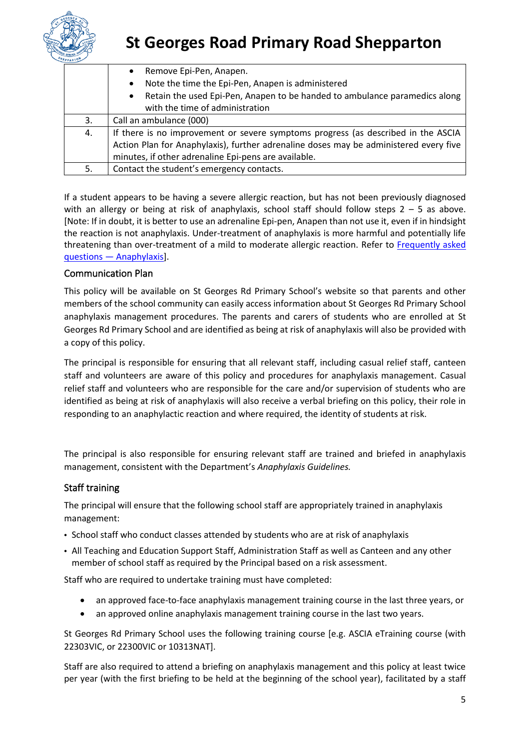

# **St Georges Road Primary Road Shepparton**

|    | Remove Epi-Pen, Anapen.<br>$\bullet$                                                    |
|----|-----------------------------------------------------------------------------------------|
|    | Note the time the Epi-Pen, Anapen is administered<br>$\bullet$                          |
|    | Retain the used Epi-Pen, Anapen to be handed to ambulance paramedics along<br>$\bullet$ |
|    | with the time of administration                                                         |
| 3. | Call an ambulance (000)                                                                 |
| 4. | If there is no improvement or severe symptoms progress (as described in the ASCIA       |
|    | Action Plan for Anaphylaxis), further adrenaline doses may be administered every five   |
|    | minutes, if other adrenaline Epi-pens are available.                                    |
| 5. | Contact the student's emergency contacts.                                               |

If a student appears to be having a severe allergic reaction, but has not been previously diagnosed with an allergy or being at risk of anaphylaxis, school staff should follow steps  $2 - 5$  as above. [Note: If in doubt, it is better to use an adrenaline Epi-pen, Anapen than not use it, even if in hindsight the reaction is not anaphylaxis. Under-treatment of anaphylaxis is more harmful and potentially life threatening than over-treatment of a mild to moderate allergic reaction. Refer to Frequently asked questions — [Anaphylaxis\]](https://nginx-php-content-policy-det-vic-gov-au-production.lagoon.vicsdp.amazee.io/sites/default/files/2020-03/anaphylaxis-faqs.docx).

#### Communication Plan

This policy will be available on St Georges Rd Primary School's website so that parents and other members of the school community can easily access information about St Georges Rd Primary School anaphylaxis management procedures. The parents and carers of students who are enrolled at St Georges Rd Primary School and are identified as being at risk of anaphylaxis will also be provided with a copy of this policy.

The principal is responsible for ensuring that all relevant staff, including casual relief staff, canteen staff and volunteers are aware of this policy and procedures for anaphylaxis management. Casual relief staff and volunteers who are responsible for the care and/or supervision of students who are identified as being at risk of anaphylaxis will also receive a verbal briefing on this policy, their role in responding to an anaphylactic reaction and where required, the identity of students at risk.

The principal is also responsible for ensuring relevant staff are trained and briefed in anaphylaxis management, consistent with the Department's *Anaphylaxis Guidelines.*

### Staff training

The principal will ensure that the following school staff are appropriately trained in anaphylaxis management:

- School staff who conduct classes attended by students who are at risk of anaphylaxis
- All Teaching and Education Support Staff, Administration Staff as well as Canteen and any other member of school staff as required by the Principal based on a risk assessment.

Staff who are required to undertake training must have completed:

- an approved face-to-face anaphylaxis management training course in the last three years, or
- an approved online anaphylaxis management training course in the last two years.

St Georges Rd Primary School uses the following training course [e.g. ASCIA eTraining course (with 22303VIC, or 22300VIC or 10313NAT].

Staff are also required to attend a briefing on anaphylaxis management and this policy at least twice per year (with the first briefing to be held at the beginning of the school year), facilitated by a staff